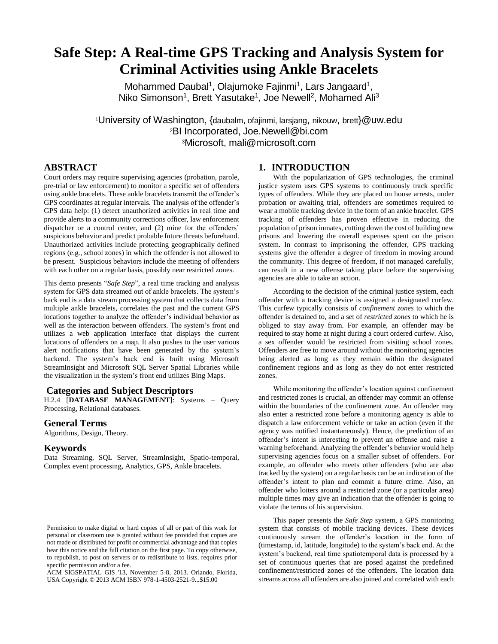# **Safe Step: A Real-time GPS Tracking and Analysis System for Criminal Activities using Ankle Bracelets**

Mohammed Daubal<sup>1</sup>, Olajumoke Fajinmi<sup>1</sup>, Lars Jangaard<sup>1</sup>, Niko Simonson<sup>1</sup>, Brett Yasutake<sup>1</sup>, Joe Newell<sup>2</sup>, Mohamed Ali<sup>3</sup>

<sup>1</sup>University of Washington, {daubalm, ofajinmi, larsjang, nikouw, brett}@uw.edu <sup>2</sup>BI Incorporated, Joe.Newell@bi.com <sup>3</sup>Microsoft, mali@microsoft.com

# **ABSTRACT**

Court orders may require supervising agencies (probation, parole, pre-trial or law enforcement) to monitor a specific set of offenders using ankle bracelets. These ankle bracelets transmit the offender's GPS coordinates at regular intervals. The analysis of the offender's GPS data help: (1) detect unauthorized activities in real time and provide alerts to a community corrections officer, law enforcement dispatcher or a control center, and (2) mine for the offenders' suspicious behavior and predict probable future threats beforehand. Unauthorized activities include protecting geographically defined regions (e.g., school zones) in which the offender is not allowed to be present. Suspicious behaviors include the meeting of offenders with each other on a regular basis, possibly near restricted zones.

This demo presents "*Safe Step*", a real time tracking and analysis system for GPS data streamed out of ankle bracelets. The system's back end is a data stream processing system that collects data from multiple ankle bracelets, correlates the past and the current GPS locations together to analyze the offender's individual behavior as well as the interaction between offenders. The system's front end utilizes a web application interface that displays the current locations of offenders on a map. It also pushes to the user various alert notifications that have been generated by the system's backend. The system's back end is built using Microsoft StreamInsight and Microsoft SQL Server Spatial Libraries while the visualization in the system's front end utilizes Bing Maps.

## **Categories and Subject Descriptors**

H.2.4 [**DATABASE MANAGEMENT**]: Systems – Query Processing, Relational databases.

### **General Terms**

Algorithms, Design, Theory.

### **Keywords**

Data Streaming, SQL Server, StreamInsight, Spatio-temporal, Complex event processing, Analytics, GPS, Ankle bracelets.

ACM SIGSPATIAL GIS '13, November 5-8, 2013. Orlando, Florida, USA Copyright © 2013 ACM ISBN 978-1-4503-2521-9...\$15.00

## **1. INTRODUCTION**

With the popularization of GPS technologies, the criminal justice system uses GPS systems to continuously track specific types of offenders. While they are placed on house arrests, under probation or awaiting trial, offenders are sometimes required to wear a mobile tracking device in the form of an ankle bracelet. GPS tracking of offenders has proven effective in reducing the population of prison inmates, cutting down the cost of building new prisons and lowering the overall expenses spent on the prison system. In contrast to imprisoning the offender, GPS tracking systems give the offender a degree of freedom in moving around the community. This degree of freedom, if not managed carefully, can result in a new offense taking place before the supervising agencies are able to take an action.

According to the decision of the criminal justice system, each offender with a tracking device is assigned a designated curfew. This curfew typically consists of *confinement zones* to which the offender is detained to, and a set of *restricted zones* to which he is obliged to stay away from. For example, an offender may be required to stay home at night during a court ordered curfew. Also, a sex offender would be restricted from visiting school zones. Offenders are free to move around without the monitoring agencies being alerted as long as they remain within the designated confinement regions and as long as they do not enter restricted zones.

While monitoring the offender's location against confinement and restricted zones is crucial, an offender may commit an offense within the boundaries of the confinement zone. An offender may also enter a restricted zone before a monitoring agency is able to dispatch a law enforcement vehicle or take an action (even if the agency was notified instantaneously). Hence, the prediction of an offender's intent is interesting to prevent an offense and raise a warning beforehand. Analyzing the offender's behavior would help supervising agencies focus on a smaller subset of offenders. For example, an offender who meets other offenders (who are also tracked by the system) on a regular basis can be an indication of the offender's intent to plan and commit a future crime. Also, an offender who loiters around a restricted zone (or a particular area) multiple times may give an indication that the offender is going to violate the terms of his supervision.

This paper presents the *Safe Step* system, a GPS monitoring system that consists of mobile tracking devices. These devices continuously stream the offender's location in the form of (timestamp, id, latitude, longitude) to the system's back end. At the system's backend, real time spatiotemporal data is processed by a set of continuous queries that are posed against the predefined confinement/restricted zones of the offenders. The location data streams across all offenders are also joined and correlated with each

Permission to make digital or hard copies of all or part of this work for personal or classroom use is granted without fee provided that copies are not made or distributed for profit or commercial advantage and that copies bear this notice and the full citation on the first page. To copy otherwise, to republish, to post on servers or to redistribute to lists, requires prior specific permission and/or a fee.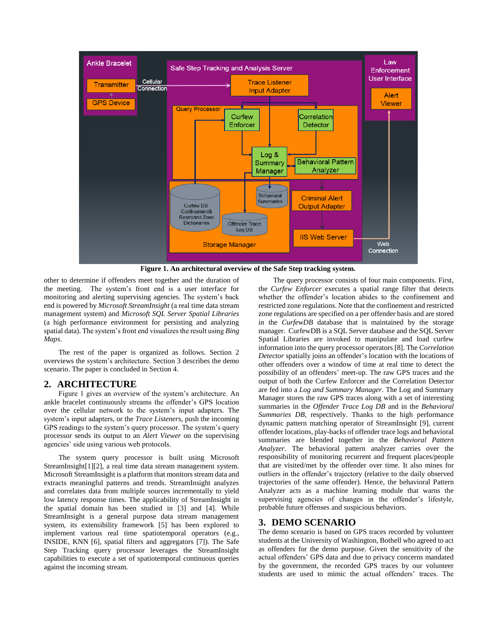

**Figure 1. An architectural overview of the Safe Step tracking system.**

other to determine if offenders meet together and the duration of the meeting. The system's front end is a user interface for monitoring and alerting supervising agencies. The system's back end is powered by *Microsoft StreamInsight* (a real time data stream management system) and *Microsoft SQL Server Spatial Libraries* (a high performance environment for persisting and analyzing spatial data). The system's front end visualizes the result using *Bing Maps*.

The rest of the paper is organized as follows. Section 2 overviews the system's architecture. Section 3 describes the demo scenario. The paper is concluded in Section 4.

## **2. ARCHITECTURE**

Figure 1 gives an overview of the system's architecture. An ankle bracelet continuously streams the offender's GPS location over the cellular network to the system's input adapters. The system's input adapters, or the *Trace Listeners*, push the incoming GPS readings to the system's query processor. The system's query processor sends its output to an *Alert Viewer* on the supervising agencies' side using various web protocols.

The system query processor is built using Microsoft StreamInsigh[t\[1\]\[2\],](#page-3-0) a real time data stream management system. Microsoft StreamInsight is a platform that monitors stream data and extracts meaningful patterns and trends. StreamInsight analyzes and correlates data from multiple sources incrementally to yield low latency response times. The applicability of StreamInsight in the spatial domain has been studied in [\[3\]](#page-3-1) and [\[4\].](#page-3-2) While StreamInsight is a general purpose data stream management system, its extensibility framework [\[5\]](#page-3-3) has been explored to implement various real time spatiotemporal operators (e.g., INSIDE, KNN [\[6\],](#page-3-4) spatial filters and aggregators [\[7\]\)](#page-3-5). The Safe Step Tracking query processor leverages the StreamInsight capabilities to execute a set of spatiotemporal continuous queries against the incoming stream.

The query processor consists of four main components. First, the *Curfew Enforcer* executes a spatial range filter that detects whether the offender's location abides to the confinement and restricted zone regulations. Note that the confinement and restricted zone regulations are specified on a per offender basis and are stored in the *CurfewDB* database that is maintained by the storage manager. CurfewDB is a SQL Server database and the SQL Server Spatial Libraries are invoked to manipulate and load curfew information into the query processor operators [\[8\].](#page-3-6) The *Correlation Detector* spatially joins an offender's location with the locations of other offenders over a window of time at real time to detect the possibility of an offenders' meet-up. The raw GPS traces and the output of both the Curfew Enforcer and the Correlation Detector are fed into a *Log and Summary Manager*. The Log and Summary Manager stores the raw GPS traces along with a set of interesting summaries in the *Offender Trace Log DB* and in the *Behavioral Summaries DB*, respectively. Thanks to the high performance dynamic pattern matching operator of StreamInsight [\[9\],](#page-3-7) current offender locations, play-backs of offender trace logs and behavioral summaries are blended together in the *Behavioral Pattern Analyzer*. The behavioral pattern analyzer carries over the responsibility of monitoring recurrent and frequent places/people that are visited/met by the offender over time. It also mines for outliers in the offender's trajectory (relative to the daily observed trajectories of the same offender). Hence, the behavioral Pattern Analyzer acts as a machine learning module that warns the supervising agencies of changes in the offender's lifestyle, probable future offenses and suspicious behaviors.

# **3. DEMO SCENARIO**

The demo scenario is based on GPS traces recorded by volunteer students at the University of Washington, Bothell who agreed to act as offenders for the demo purpose. Given the sensitivity of the actual offenders' GPS data and due to privacy concerns mandated by the government, the recorded GPS traces by our volunteer students are used to mimic the actual offenders' traces. The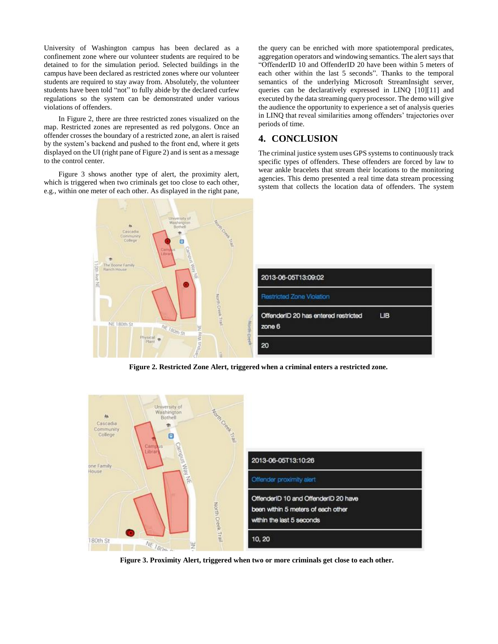University of Washington campus has been declared as a confinement zone where our volunteer students are required to be detained to for the simulation period. Selected buildings in the campus have been declared as restricted zones where our volunteer students are required to stay away from. Absolutely, the volunteer students have been told "not" to fully abide by the declared curfew regulations so the system can be demonstrated under various violations of offenders.

In Figure 2, there are three restricted zones visualized on the map. Restricted zones are represented as red polygons. Once an offender crosses the boundary of a restricted zone, an alert is raised by the system's backend and pushed to the front end, where it gets displayed on the UI (right pane of Figure 2) and is sent as a message to the control center.

Figure 3 shows another type of alert, the proximity alert, which is triggered when two criminals get too close to each other, e.g., within one meter of each other. As displayed in the right pane,

the query can be enriched with more spatiotemporal predicates, aggregation operators and windowing semantics. The alert says that "OffenderID 10 and OffenderID 20 have been within 5 meters of each other within the last 5 seconds". Thanks to the temporal semantics of the underlying Microsoft StreamInsight server, queries can be declaratively expressed in LINQ [\[10\]\[11\]](#page-3-8) and executed by the data streaming query processor. The demo will give the audience the opportunity to experience a set of analysis queries in LINQ that reveal similarities among offenders' trajectories over periods of time.

# **4. CONCLUSION**

The criminal justice system uses GPS systems to continuously track specific types of offenders. These offenders are forced by law to wear ankle bracelets that stream their locations to the monitoring agencies. This demo presented a real time data stream processing system that collects the location data of offenders. The system



**Figure 2. Restricted Zone Alert, triggered when a criminal enters a restricted zone.**



**Figure 3. Proximity Alert, triggered when two or more criminals get close to each other.**